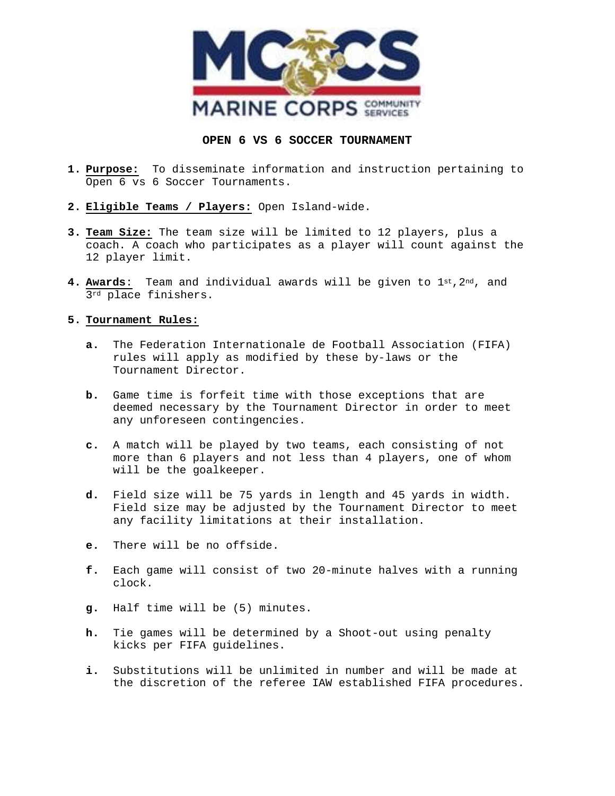

## **OPEN 6 VS 6 SOCCER TOURNAMENT**

- **1. Purpose:** To disseminate information and instruction pertaining to Open 6 vs 6 Soccer Tournaments.
- **2. Eligible Teams / Players:** Open Island-wide.
- **3. Team Size:** The team size will be limited to 12 players, plus a coach. A coach who participates as a player will count against the 12 player limit.
- **4. Awards**: Team and individual awards will be given to 1st,2nd, and 3rd place finishers.

## **5. Tournament Rules:**

- **a.** The Federation Internationale de Football Association (FIFA) rules will apply as modified by these by-laws or the Tournament Director.
- **b.** Game time is forfeit time with those exceptions that are deemed necessary by the Tournament Director in order to meet any unforeseen contingencies.
- **c.** A match will be played by two teams, each consisting of not more than 6 players and not less than 4 players, one of whom will be the goalkeeper.
- **d.** Field size will be 75 yards in length and 45 yards in width. Field size may be adjusted by the Tournament Director to meet any facility limitations at their installation.
- **e.** There will be no offside.
- **f.** Each game will consist of two 20-minute halves with a running clock.
- **g.** Half time will be (5) minutes.
- **h.** Tie games will be determined by a Shoot-out using penalty kicks per FIFA guidelines.
- **i.** Substitutions will be unlimited in number and will be made at the discretion of the referee IAW established FIFA procedures.